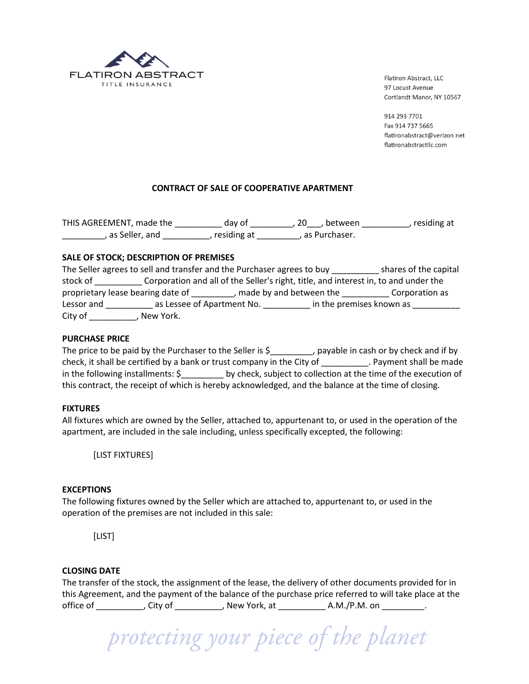

914 293 7701 Fax 914 737 5665 flatironabstract@verizon.net flatironabstractllc.com

# **CONTRACT OF SALE OF COOPERATIVE APARTMENT**

THIS AGREEMENT, made the \_\_\_\_\_\_\_\_\_\_ day of \_\_\_\_\_\_\_\_\_, 20\_\_\_, between \_\_\_\_\_\_\_\_\_\_, residing at \_\_\_\_\_\_\_\_\_\_, as Seller, and \_\_\_\_\_\_\_\_\_\_, residing at \_\_\_\_\_\_\_\_\_, as Purchaser.

#### **SALE OF STOCK; DESCRIPTION OF PREMISES**

| The Seller agrees to sell and transfer and the Purchaser agrees to buy |                                   |  |                           | shares of the capital                                                               |
|------------------------------------------------------------------------|-----------------------------------|--|---------------------------|-------------------------------------------------------------------------------------|
| stock of                                                               |                                   |  |                           | Corporation and all of the Seller's right, title, and interest in, to and under the |
|                                                                        | proprietary lease bearing date of |  | , made by and between the | Corporation as                                                                      |
| Lessor and                                                             | as Lessee of Apartment No.        |  |                           | in the premises known as                                                            |
| City of                                                                | New York.                         |  |                           |                                                                                     |

# **PURCHASE PRICE**

The price to be paid by the Purchaser to the Seller is \$\_\_\_\_\_\_\_\_, payable in cash or by check and if by check, it shall be certified by a bank or trust company in the City of Theorem 2. Payment shall be made in the following installments: \$\_\_\_\_\_\_\_\_\_ by check, subject to collection at the time of the execution of this contract, the receipt of which is hereby acknowledged, and the balance at the time of closing.

#### **FIXTURES**

All fixtures which are owned by the Seller, attached to, appurtenant to, or used in the operation of the apartment, are included in the sale including, unless specifically excepted, the following:

[LIST FIXTURES]

#### **EXCEPTIONS**

The following fixtures owned by the Seller which are attached to, appurtenant to, or used in the operation of the premises are not included in this sale:

[LIST]

#### **CLOSING DATE**

The transfer of the stock, the assignment of the lease, the delivery of other documents provided for in this Agreement, and the payment of the balance of the purchase price referred to will take place at the office of \_\_\_\_\_\_\_\_\_\_\_\_, City of \_\_\_\_\_\_\_\_\_\_\_\_, New York, at \_\_\_\_\_\_\_\_\_\_\_\_\_\_\_\_\_\_\_\_\_\_ A.M./P.M. on \_\_\_\_\_\_\_\_\_\_\_.

protecting your piece of the planet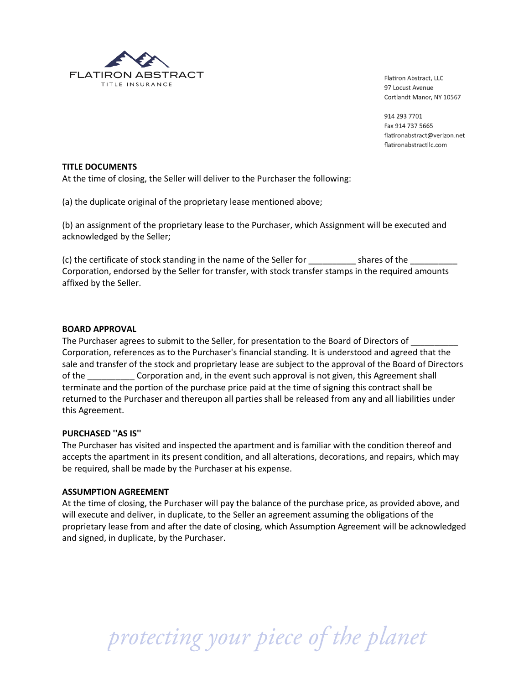

914 293 7701 Fax 914 737 5665 flatironabstract@verizon.net flatironabstractllc.com

#### **TITLE DOCUMENTS**

At the time of closing, the Seller will deliver to the Purchaser the following:

(a) the duplicate original of the proprietary lease mentioned above;

(b) an assignment of the proprietary lease to the Purchaser, which Assignment will be executed and acknowledged by the Seller;

(c) the certificate of stock standing in the name of the Seller for \_\_\_\_\_\_\_\_\_\_ shares of the \_\_\_\_\_\_\_\_\_\_ Corporation, endorsed by the Seller for transfer, with stock transfer stamps in the required amounts affixed by the Seller.

#### **BOARD APPROVAL**

The Purchaser agrees to submit to the Seller, for presentation to the Board of Directors of Corporation, references as to the Purchaser's financial standing. It is understood and agreed that the sale and transfer of the stock and proprietary lease are subject to the approval of the Board of Directors of the corporation and, in the event such approval is not given, this Agreement shall terminate and the portion of the purchase price paid at the time of signing this contract shall be returned to the Purchaser and thereupon all parties shall be released from any and all liabilities under this Agreement.

#### **PURCHASED ''AS IS''**

The Purchaser has visited and inspected the apartment and is familiar with the condition thereof and accepts the apartment in its present condition, and all alterations, decorations, and repairs, which may be required, shall be made by the Purchaser at his expense.

#### **ASSUMPTION AGREEMENT**

At the time of closing, the Purchaser will pay the balance of the purchase price, as provided above, and will execute and deliver, in duplicate, to the Seller an agreement assuming the obligations of the proprietary lease from and after the date of closing, which Assumption Agreement will be acknowledged and signed, in duplicate, by the Purchaser.

protecting your piece of the planet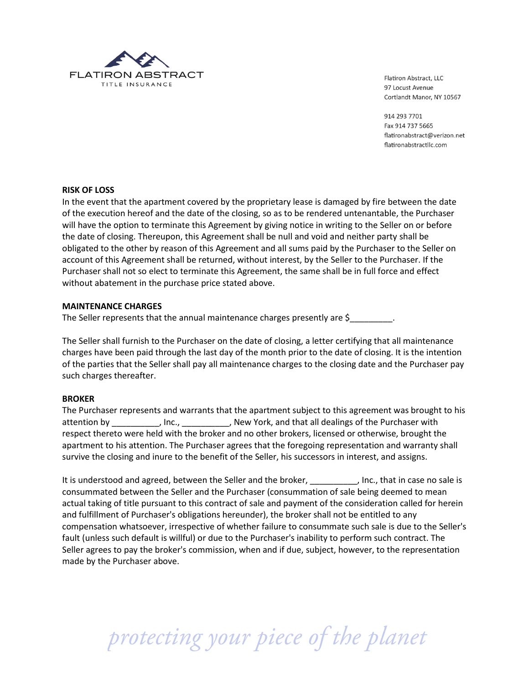

914 293 7701 Fax 914 737 5665 flatironabstract@verizon.net flatironabstractllc.com

# **RISK OF LOSS**

In the event that the apartment covered by the proprietary lease is damaged by fire between the date of the execution hereof and the date of the closing, so as to be rendered untenantable, the Purchaser will have the option to terminate this Agreement by giving notice in writing to the Seller on or before the date of closing. Thereupon, this Agreement shall be null and void and neither party shall be obligated to the other by reason of this Agreement and all sums paid by the Purchaser to the Seller on account of this Agreement shall be returned, without interest, by the Seller to the Purchaser. If the Purchaser shall not so elect to terminate this Agreement, the same shall be in full force and effect without abatement in the purchase price stated above.

#### **MAINTENANCE CHARGES**

The Seller represents that the annual maintenance charges presently are \$

The Seller shall furnish to the Purchaser on the date of closing, a letter certifying that all maintenance charges have been paid through the last day of the month prior to the date of closing. It is the intention of the parties that the Seller shall pay all maintenance charges to the closing date and the Purchaser pay such charges thereafter.

#### **BROKER**

The Purchaser represents and warrants that the apartment subject to this agreement was brought to his attention by \_\_\_\_\_\_\_\_\_, Inc., \_\_\_\_\_\_\_\_, New York, and that all dealings of the Purchaser with respect thereto were held with the broker and no other brokers, licensed or otherwise, brought the apartment to his attention. The Purchaser agrees that the foregoing representation and warranty shall survive the closing and inure to the benefit of the Seller, his successors in interest, and assigns.

It is understood and agreed, between the Seller and the broker, **we can construct that in case no sale is** consummated between the Seller and the Purchaser (consummation of sale being deemed to mean actual taking of title pursuant to this contract of sale and payment of the consideration called for herein and fulfillment of Purchaser's obligations hereunder), the broker shall not be entitled to any compensation whatsoever, irrespective of whether failure to consummate such sale is due to the Seller's fault (unless such default is willful) or due to the Purchaser's inability to perform such contract. The Seller agrees to pay the broker's commission, when and if due, subject, however, to the representation made by the Purchaser above.

protecting your piece of the planet